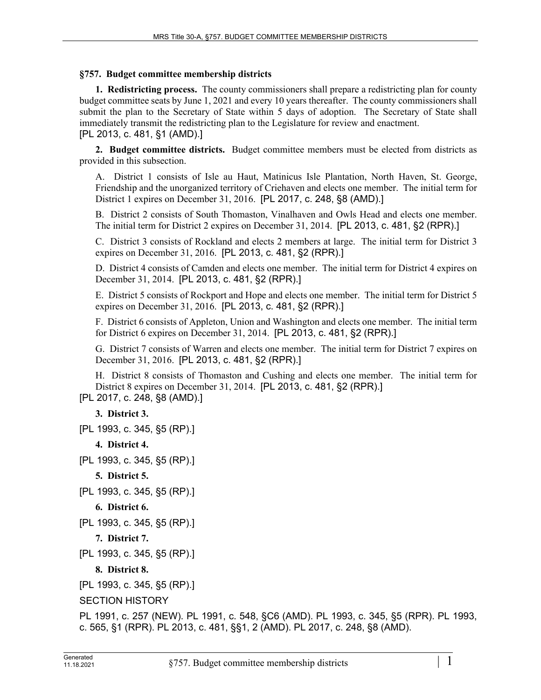## **§757. Budget committee membership districts**

**1. Redistricting process.** The county commissioners shall prepare a redistricting plan for county budget committee seats by June 1, 2021 and every 10 years thereafter. The county commissioners shall submit the plan to the Secretary of State within 5 days of adoption. The Secretary of State shall immediately transmit the redistricting plan to the Legislature for review and enactment. [PL 2013, c. 481, §1 (AMD).]

**2. Budget committee districts.** Budget committee members must be elected from districts as provided in this subsection.

A. District 1 consists of Isle au Haut, Matinicus Isle Plantation, North Haven, St. George, Friendship and the unorganized territory of Criehaven and elects one member. The initial term for District 1 expires on December 31, 2016. [PL 2017, c. 248, §8 (AMD).]

B. District 2 consists of South Thomaston, Vinalhaven and Owls Head and elects one member. The initial term for District 2 expires on December 31, 2014. [PL 2013, c. 481, §2 (RPR).]

C. District 3 consists of Rockland and elects 2 members at large. The initial term for District 3 expires on December 31, 2016. [PL 2013, c. 481, §2 (RPR).]

D. District 4 consists of Camden and elects one member. The initial term for District 4 expires on December 31, 2014. [PL 2013, c. 481, §2 (RPR).]

E. District 5 consists of Rockport and Hope and elects one member. The initial term for District 5 expires on December 31, 2016. [PL 2013, c. 481, §2 (RPR).]

F. District 6 consists of Appleton, Union and Washington and elects one member. The initial term for District 6 expires on December 31, 2014. [PL 2013, c. 481, §2 (RPR).]

G. District 7 consists of Warren and elects one member. The initial term for District 7 expires on December 31, 2016. [PL 2013, c. 481, §2 (RPR).]

H. District 8 consists of Thomaston and Cushing and elects one member. The initial term for District 8 expires on December 31, 2014. [PL 2013, c. 481, §2 (RPR).]

```
[PL 2017, c. 248, §8 (AMD).]
```
**3. District 3.** 

```
[PL 1993, c. 345, §5 (RP).]
```

```
4. District 4.
```

```
[PL 1993, c. 345, §5 (RP).]
```
**5. District 5.** 

```
[PL 1993, c. 345, §5 (RP).]
```

```
6. District 6.
```

```
[PL 1993, c. 345, §5 (RP).]
```
**7. District 7.** 

```
[PL 1993, c. 345, §5 (RP).]
```

```
8. District 8.
```

```
[PL 1993, c. 345, §5 (RP).]
```

```
SECTION HISTORY
```
PL 1991, c. 257 (NEW). PL 1991, c. 548, §C6 (AMD). PL 1993, c. 345, §5 (RPR). PL 1993, c. 565, §1 (RPR). PL 2013, c. 481, §§1, 2 (AMD). PL 2017, c. 248, §8 (AMD).